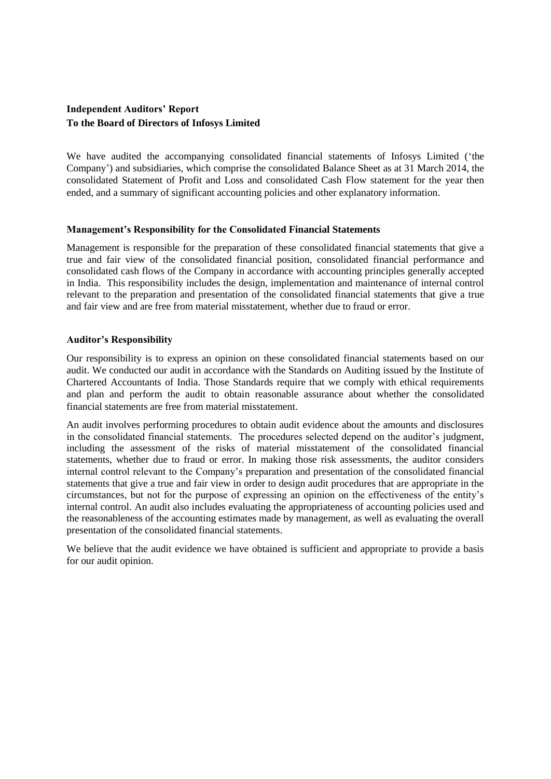## **Independent Auditors' Report To the Board of Directors of Infosys Limited**

We have audited the accompanying consolidated financial statements of Infosys Limited ('the Company') and subsidiaries, which comprise the consolidated Balance Sheet as at 31 March 2014, the consolidated Statement of Profit and Loss and consolidated Cash Flow statement for the year then ended, and a summary of significant accounting policies and other explanatory information.

## **Management's Responsibility for the Consolidated Financial Statements**

Management is responsible for the preparation of these consolidated financial statements that give a true and fair view of the consolidated financial position, consolidated financial performance and consolidated cash flows of the Company in accordance with accounting principles generally accepted in India. This responsibility includes the design, implementation and maintenance of internal control relevant to the preparation and presentation of the consolidated financial statements that give a true and fair view and are free from material misstatement, whether due to fraud or error.

## **Auditor's Responsibility**

Our responsibility is to express an opinion on these consolidated financial statements based on our audit. We conducted our audit in accordance with the Standards on Auditing issued by the Institute of Chartered Accountants of India. Those Standards require that we comply with ethical requirements and plan and perform the audit to obtain reasonable assurance about whether the consolidated financial statements are free from material misstatement.

An audit involves performing procedures to obtain audit evidence about the amounts and disclosures in the consolidated financial statements. The procedures selected depend on the auditor's judgment, including the assessment of the risks of material misstatement of the consolidated financial statements, whether due to fraud or error. In making those risk assessments, the auditor considers internal control relevant to the Company's preparation and presentation of the consolidated financial statements that give a true and fair view in order to design audit procedures that are appropriate in the circumstances, but not for the purpose of expressing an opinion on the effectiveness of the entity's internal control. An audit also includes evaluating the appropriateness of accounting policies used and the reasonableness of the accounting estimates made by management, as well as evaluating the overall presentation of the consolidated financial statements.

We believe that the audit evidence we have obtained is sufficient and appropriate to provide a basis for our audit opinion.